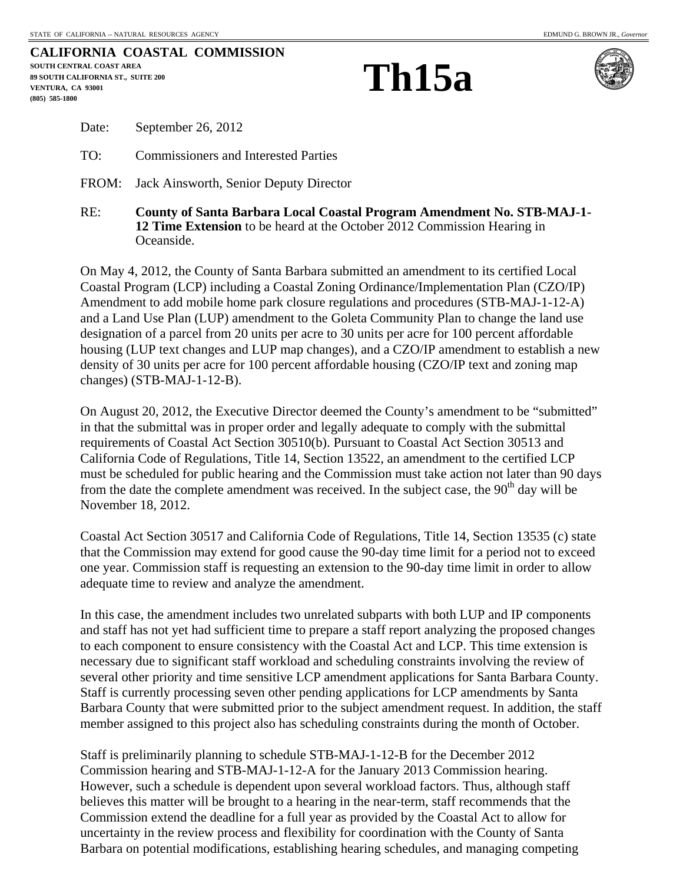|                                           | CALIFORNIA COASTAL COMMISSION |
|-------------------------------------------|-------------------------------|
| SOUTH CENTRAL COAST AREA                  |                               |
| <b>89 SOUTH CALIFORNIA ST., SUITE 200</b> |                               |
| VENTURA. CA 93001                         |                               |
| (805) 585-1800                            |                               |
|                                           |                               |

## **Th15a**



| Date: | September 26, 2012 |  |
|-------|--------------------|--|
|-------|--------------------|--|

TO: Commissioners and Interested Parties

FROM: Jack Ainsworth, Senior Deputy Director

RE: **County of Santa Barbara Local Coastal Program Amendment No. STB-MAJ-1- 12 Time Extension** to be heard at the October 2012 Commission Hearing in Oceanside.

On May 4, 2012, the County of Santa Barbara submitted an amendment to its certified Local Coastal Program (LCP) including a Coastal Zoning Ordinance/Implementation Plan (CZO/IP) Amendment to add mobile home park closure regulations and procedures (STB-MAJ-1-12-A) and a Land Use Plan (LUP) amendment to the Goleta Community Plan to change the land use designation of a parcel from 20 units per acre to 30 units per acre for 100 percent affordable housing (LUP text changes and LUP map changes), and a CZO/IP amendment to establish a new density of 30 units per acre for 100 percent affordable housing (CZO/IP text and zoning map changes) (STB-MAJ-1-12-B).

On August 20, 2012, the Executive Director deemed the County's amendment to be "submitted" in that the submittal was in proper order and legally adequate to comply with the submittal requirements of Coastal Act Section 30510(b). Pursuant to Coastal Act Section 30513 and California Code of Regulations, Title 14, Section 13522, an amendment to the certified LCP must be scheduled for public hearing and the Commission must take action not later than 90 days from the date the complete amendment was received. In the subject case, the  $90<sup>th</sup>$  day will be November 18, 2012.

Coastal Act Section 30517 and California Code of Regulations, Title 14, Section 13535 (c) state that the Commission may extend for good cause the 90-day time limit for a period not to exceed one year. Commission staff is requesting an extension to the 90-day time limit in order to allow adequate time to review and analyze the amendment.

In this case, the amendment includes two unrelated subparts with both LUP and IP components and staff has not yet had sufficient time to prepare a staff report analyzing the proposed changes to each component to ensure consistency with the Coastal Act and LCP. This time extension is necessary due to significant staff workload and scheduling constraints involving the review of several other priority and time sensitive LCP amendment applications for Santa Barbara County. Staff is currently processing seven other pending applications for LCP amendments by Santa Barbara County that were submitted prior to the subject amendment request. In addition, the staff member assigned to this project also has scheduling constraints during the month of October.

Staff is preliminarily planning to schedule STB-MAJ-1-12-B for the December 2012 Commission hearing and STB-MAJ-1-12-A for the January 2013 Commission hearing. However, such a schedule is dependent upon several workload factors. Thus, although staff believes this matter will be brought to a hearing in the near-term, staff recommends that the Commission extend the deadline for a full year as provided by the Coastal Act to allow for uncertainty in the review process and flexibility for coordination with the County of Santa Barbara on potential modifications, establishing hearing schedules, and managing competing